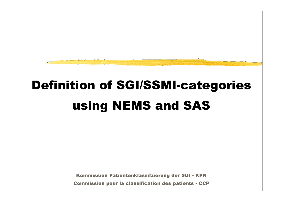

# Definition of SGI/SSMI-categories using NEMS and SAS

Kommission Patientenklassifzierung der SGI - KPK Commission pour la classification des patients - CCP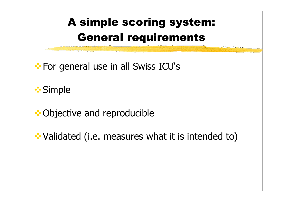## A simple scoring system: General requirements

 $\cdot$  **For general use in all Swiss ICU's** 

**❖ Simple** 

### **◆ Objective and reproducible**

**EX** Validated (i.e. measures what it is intended to)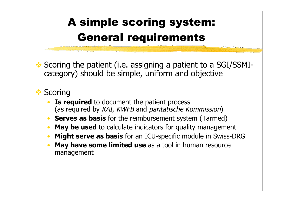## A simple scoring system: General requirements

◆ Scoring the patient (i.e. assigning a patient to a SGI/SSMIcategory) should be simple, uniform and objective

#### **❖ Scoring**

- **Is required** to document the patient process (as required by KAI, KWFB and paritätische Kommission)
- **Serves as basis** for the reimbursement system (Tarmed)
- **May be used** to calculate indicators for quality management
- **Might serve as basis** for an ICU-specific module in Swiss-DRG
- **May have some limited use** as a tool in human resource management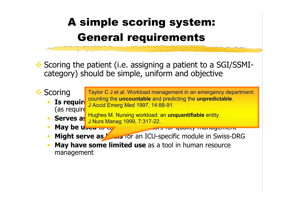## A simple scoring system: General requirements

Scoring the patient (i.e. assigning a patient to a SGI/SSMIcategory) should be simple, uniform and objective



management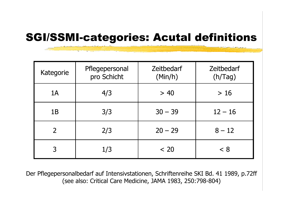### SGI/SSMI-categories: Acutal definitions

| Kategorie | Pflegepersonal<br>pro Schicht | <b>Zeitbedarf</b><br>(Min/h) | <b>Zeitbedarf</b><br>(h/Tag) |
|-----------|-------------------------------|------------------------------|------------------------------|
| 1A        | 4/3                           | > 40                         | $>16$                        |
| 1B        | 3/3                           | $30 - 39$                    | $12 - 16$                    |
|           | 2/3                           | $20 - 29$                    | $8 - 12$                     |
|           | 1/3                           | < 20                         | < 8                          |

Der Pflegepersonalbedarf auf Intensivstationen, Schriftenreihe SKI Bd. 41 1989, p.72ff (see also: Critical Care Medicine, JAMA 1983, 250:798-804)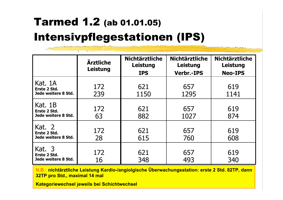## Tarmed 1.2 (ab 01.01.05) Intensivpflegestationen (IPS)

|                                                | <b>Ärztliche</b><br>Leistung | <b>Nichtärztliche</b><br>Leistung<br><b>IPS</b> | <b>Nichtärztliche</b><br><b>Leistung</b><br><b>Verbr.-IPS</b> | <b>Nichtärztliche</b><br>Leistung<br><b>Neo-IPS</b> |
|------------------------------------------------|------------------------------|-------------------------------------------------|---------------------------------------------------------------|-----------------------------------------------------|
| Kat. 1A<br>Erste 2 Std.<br>Jede weitere 8 Std. | 172<br>239                   | 621<br>1150                                     | 657<br>1295                                                   | 619<br>1141                                         |
| Kat. 1B<br>Erste 2 Std.<br>Jede weitere 8 Std. | 172<br>63                    | 621<br>882                                      | 657<br>1027                                                   | 619<br>874                                          |
| Kat. 2<br>Erste 2 Std.<br>Jede weitere 8 Std.  | 172<br>28                    | 621<br>615                                      | 657<br>760                                                    | 619<br>608                                          |
| Kat. 3<br>Erste 2 Std.<br>Jede weitere 8 Std.  | 172<br>16                    | 621<br>348                                      | 657<br>493                                                    | 619<br>340                                          |

**N.B.: nichtärztliche Leistung Kardio-/angiolgische Überwachungsstation: erste 2 Std. 82TP, dann 32TP pro Std., maximal 14 mal**

**Kategoriewechsel jeweils bei Schichtwechsel**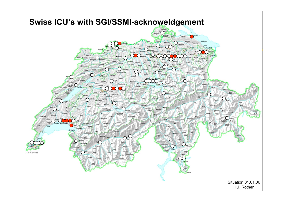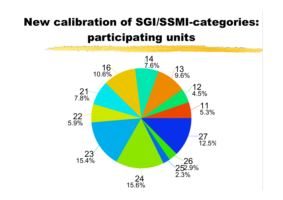## New calibration of SGI/SSMI-categories: participating units

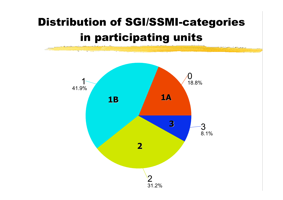## in participating units Distribution of SGI/SSMI-categories

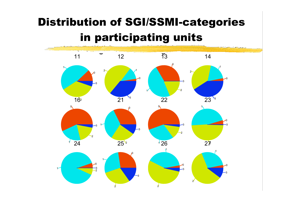## Distribution of SGI/SSMI-categories in participating units

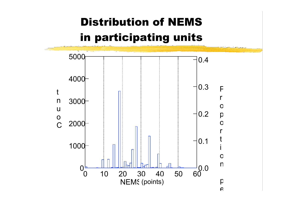## Distribution of NEMS in participating units

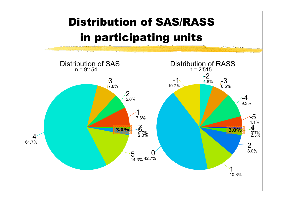## Distribution of SAS/RASS in participating units

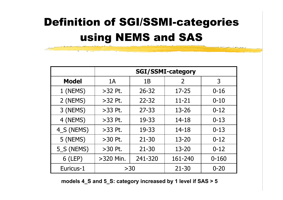## Definition of SGI/SSMI-categories using NEMS and SAS

|              | <b>SGI/SSMI-category</b> |           |           |           |  |
|--------------|--------------------------|-----------|-----------|-----------|--|
| <b>Model</b> | 1A                       | 1B        | 2         | 3         |  |
| 1 (NEMS)     | $>32$ Pt.                | $26 - 32$ | $17 - 25$ | $0 - 16$  |  |
| 2 (NEMS)     | $>32$ Pt.                | $22 - 32$ | $11 - 21$ | $0 - 10$  |  |
| 3 (NEMS)     | $>33$ Pt.                | $27 - 33$ | $13 - 26$ | $0 - 12$  |  |
| 4 (NEMS)     | $>33$ Pt.                | 19-33     | $14 - 18$ | $0 - 13$  |  |
| 4_S (NEMS)   | $>33$ Pt.                | 19-33     | $14 - 18$ | $0 - 13$  |  |
| 5 (NEMS)     | $>30$ Pt.                | $21 - 30$ | $13 - 20$ | $0 - 12$  |  |
| 5_S (NEMS)   | $>30$ Pt.                | $21 - 30$ | $13 - 20$ | $0 - 12$  |  |
| $6$ (LEP)    | $>320$ Min.              | 241-320   | 161-240   | $0 - 160$ |  |
| Euricus-1    | >30                      |           | $21 - 30$ | $0 - 20$  |  |

**models 4\_S and 5\_S: category increased by 1 level if SAS > 5**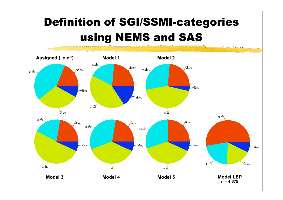## Definition of SGI/SSMI-categories using NEMS and SAS

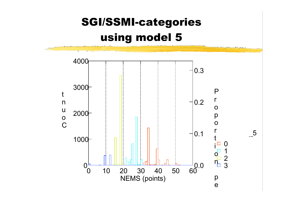## SGI/SSMI-categories using model 5

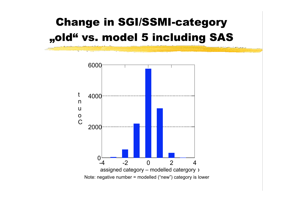## Change in SGI/SSMI-category "old" vs. model 5 including SAS

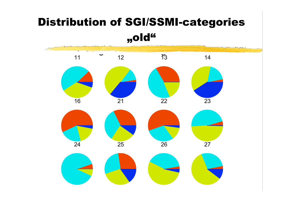### Distribution of SGI/SSMI-categories

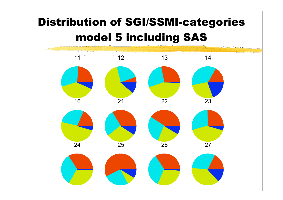## Distribution of SGI/SSMI-categories model 5 including SAS

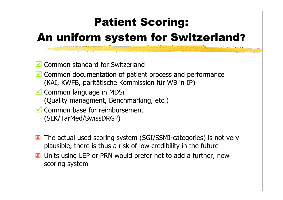### Patient Scoring:

### An uniform system for Switzerland?

- **M** Common standard for Switzerland
- Common documentation of patient process and performance (KAI, KWFB, paritätische Kommission für WB in IP)
- Common language in MDSi (Quality managment, Benchmarking, etc.)
- $\blacksquare$  Common base for reimbursement (SLK/TarMed/SwissDRG?)
- The actual used scoring system (SGI/SSMI-categories) is not very plausible, there is thus a risk of low credibility in the future
- **EX** Units using LEP or PRN would prefer not to add a further, new scoring system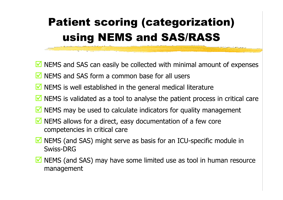## Patient scoring (categorization) using NEMS and SAS/RASS

- $\blacksquare$  NEMS and SAS can easily be collected with minimal amount of expenses
- $\blacksquare$  NEMS and SAS form a common base for all users
- $\blacksquare$  NEMS is well established in the general medical literature
- $\blacksquare$  NEMS is validated as a tool to analyse the patient process in critical care
- $\blacksquare$  NEMS may be used to calculate indicators for quality management
- NEMS allows for a direct, easy documentation of a few core competencies in critical care
- NEMS (and SAS) might serve as basis for an ICU-specific module in Swiss-DRG
- $\blacksquare$  NEMS (and SAS) may have some limited use as tool in human resource management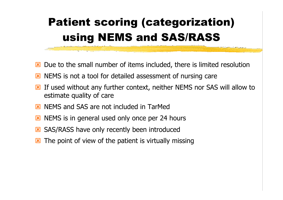## Patient scoring (categorization) using NEMS and SAS/RASS

- Due to the small number of items included, there is limited resolution
- **EX** NEMS is not a tool for detailed assessment of nursing care
- **EX** If used without any further context, neither NEMS nor SAS will allow to estimate quality of care
- NEMS and SAS are not included in TarMed
- NEMS is in general used only once per 24 hours
- SAS/RASS have only recently been introduced
- $\triangleright$  The point of view of the patient is virtually missing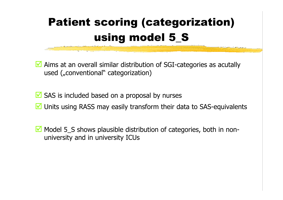## Patient scoring (categorization) using model 5\_S

■ Aims at an overall similar distribution of SGI-categories as acutally used ("conventional" categorization)

- $\blacksquare$  SAS is included based on a proposal by nurses
- **M** Units using RASS may easily transform their data to SAS-equivalents
- $\blacksquare$  Model 5 S shows plausible distribution of categories, both in nonuniversity and in university ICUs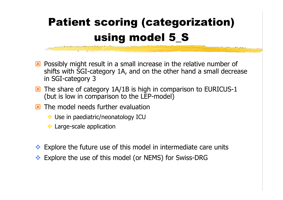## Patient scoring (categorization) using model 5\_S

- **EX** Possibly might result in a small increase in the relative number of shifts with SGI-category 1A, and on the other hand a small decrease in SGI-category 3
- **EX** The share of category 1A/1B is high in comparison to EURICUS-1 (but is low in comparison to the LEP-model)
- $\overline{\mathbf{x}}$  The model needs further evaluation
	- Use in paediatric/neonatology ICU
	- **Large-scale application**
- ◆ Explore the future use of this model in intermediate care units
- ◆ Explore the use of this model (or NEMS) for Swiss-DRG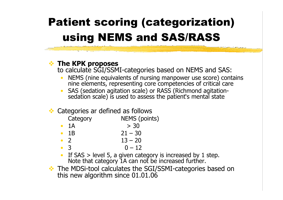## Patient scoring (categorization) using NEMS and SAS/RASS

#### **The KPK proposes**

to calculate SGI/SSMI-categories based on NEMS and SAS:

- NEMS (nine equivalents of nursing manpower use score) contains nine elements, representing core competencies of critical care
- SAS (sedation agitation scale) or RASS (Richmond agitation- sedation scale) is used to assess the patient's mental state

#### **❖** Categories ar defined as follows

Category **NEMS** (points)

- $1A \t > 30$
- $1B$  21 30
- 2  $13 20$
- 3 0 12
- If SAS  $>$  level 5, a given category is increased by 1 step. Note that category 1A can not be increased further.
- The MDSi-tool calculates the SGI/SSMI-categories based on this new algorithm since 01.01.06